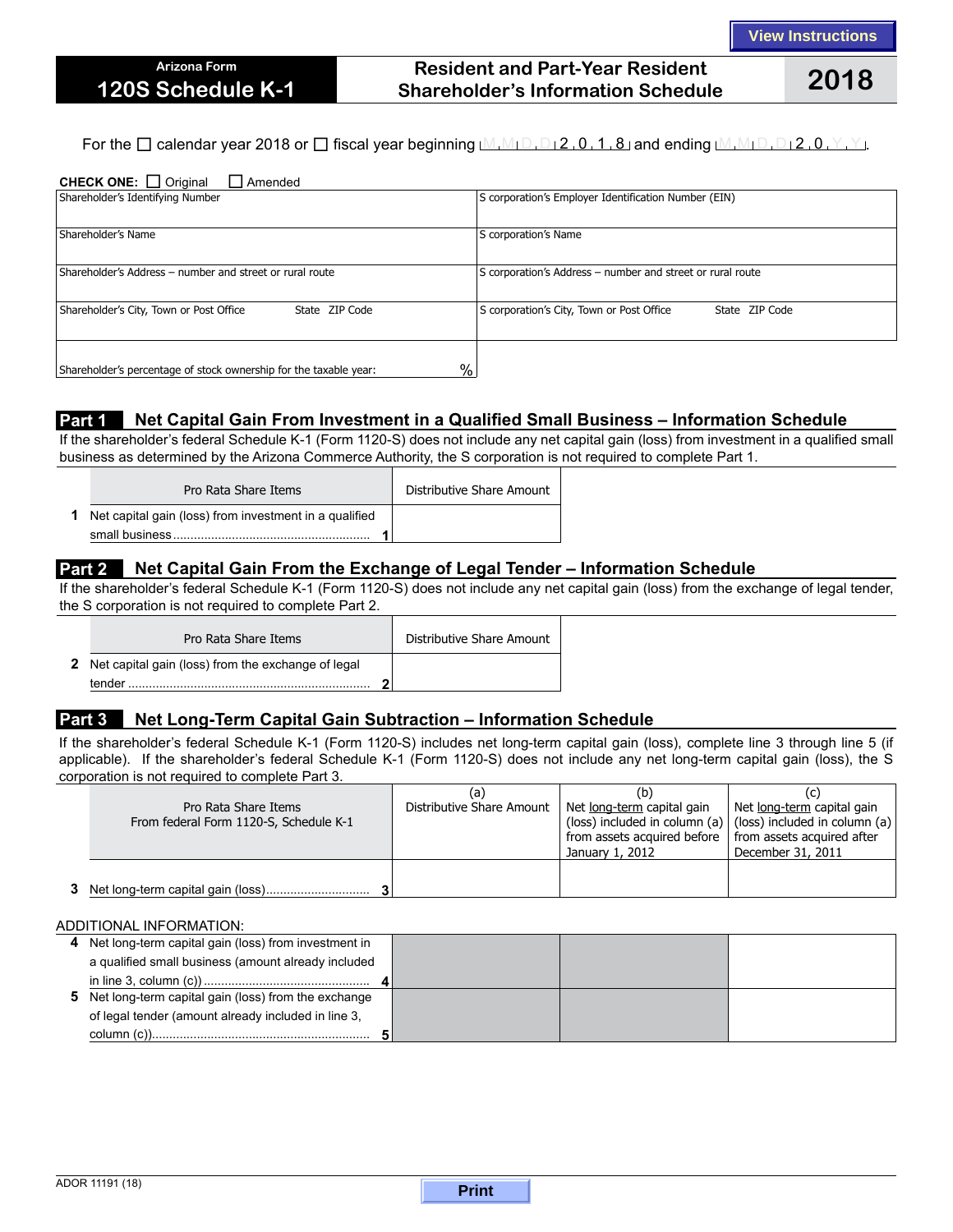## **Resident and Part-Year Resident Shareholder's Information Schedule 2018**

For the  $\Box$  calendar year 2018 or  $\Box$  fiscal year beginning  $M_1M_1D_1D_2$ , 0, 1, 8 and ending  $M_1M_1D_1D_12$ , 0, Y, Y, Y,

| <b>CHECK ONE:</b> $\Box$ Original<br>$\Box$ Amended                                |                                                             |  |  |  |  |  |
|------------------------------------------------------------------------------------|-------------------------------------------------------------|--|--|--|--|--|
| Shareholder's Identifying Number                                                   | S corporation's Employer Identification Number (EIN)        |  |  |  |  |  |
|                                                                                    |                                                             |  |  |  |  |  |
| Shareholder's Name                                                                 | S corporation's Name                                        |  |  |  |  |  |
|                                                                                    |                                                             |  |  |  |  |  |
| Shareholder's Address – number and street or rural route                           | S corporation's Address – number and street or rural route  |  |  |  |  |  |
|                                                                                    |                                                             |  |  |  |  |  |
| Shareholder's City, Town or Post Office<br>State ZIP Code                          | S corporation's City, Town or Post Office<br>State ZIP Code |  |  |  |  |  |
|                                                                                    |                                                             |  |  |  |  |  |
|                                                                                    |                                                             |  |  |  |  |  |
| $\frac{0}{0}$<br>Shareholder's percentage of stock ownership for the taxable year: |                                                             |  |  |  |  |  |

### **Part 1** Net Capital Gain From Investment in a Qualified Small Business - Information Schedule

If the shareholder's federal Schedule K-1 (Form 1120-S) does not include any net capital gain (loss) from investment in a qualified small business as determined by the Arizona Commerce Authority, the S corporation is not required to complete Part 1.

| Pro Rata Share Items                                            | Distributive Share Amount |
|-----------------------------------------------------------------|---------------------------|
| <b>1</b> Net capital gain (loss) from investment in a qualified |                           |

### **Part 2 Net Capital Gain From the Exchange of Legal Tender – Information Schedule**

If the shareholder's federal Schedule K-1 (Form 1120-S) does not include any net capital gain (loss) from the exchange of legal tender, the S corporation is not required to complete Part 2.

| Pro Rata Share Items                                                  | Distributive Share Amount |
|-----------------------------------------------------------------------|---------------------------|
| <b>2</b> Net capital gain (loss) from the exchange of legal<br>tender |                           |
|                                                                       |                           |

### **Part 3 Net Long-Term Capital Gain Subtraction – Information Schedule**

If the shareholder's federal Schedule K-1 (Form 1120-S) includes net long-term capital gain (loss), complete line 3 through line 5 (if applicable). If the shareholder's federal Schedule K-1 (Form 1120-S) does not include any net long-term capital gain (loss), the S corporation is not required to complete Part 3.

| Pro Rata Share Items<br>From federal Form 1120-S, Schedule K-1 | (a)<br>Distributive Share Amount | (b'<br>Net long-term capital gain<br>from assets acquired before $\parallel$ from assets acquired after<br>January 1, 2012 | Net long-term capital gain<br>(loss) included in column (a) $ $ (loss) included in column (a)<br>December 31, 2011 |
|----------------------------------------------------------------|----------------------------------|----------------------------------------------------------------------------------------------------------------------------|--------------------------------------------------------------------------------------------------------------------|
|                                                                |                                  |                                                                                                                            |                                                                                                                    |

#### ADDITIONAL INFORMATION:

| 4 Net long-term capital gain (loss) from investment in |  |  |
|--------------------------------------------------------|--|--|
| a qualified small business (amount already included    |  |  |
|                                                        |  |  |
| 5 Net long-term capital gain (loss) from the exchange  |  |  |
| of legal tender (amount already included in line 3,    |  |  |
|                                                        |  |  |